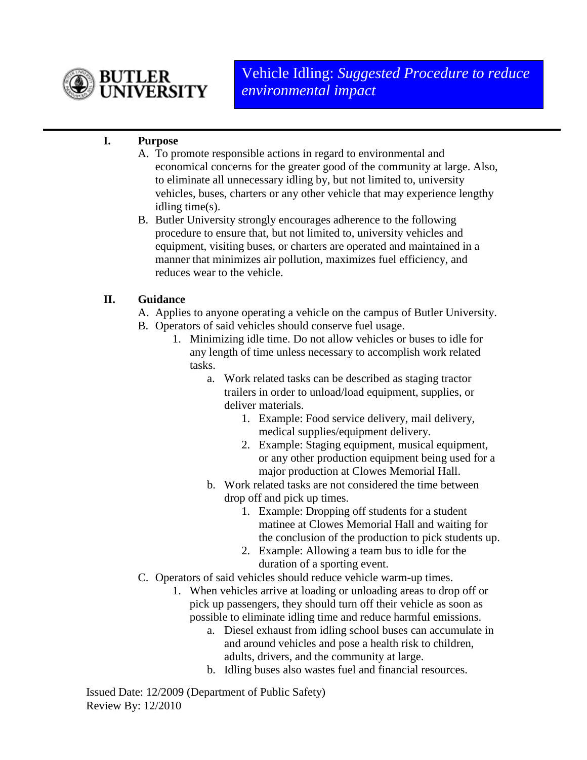

## **I. Purpose**

- A. To promote responsible actions in regard to environmental and economical concerns for the greater good of the community at large. Also, to eliminate all unnecessary idling by, but not limited to, university vehicles, buses, charters or any other vehicle that may experience lengthy idling time(s).
- B. Butler University strongly encourages adherence to the following procedure to ensure that, but not limited to, university vehicles and equipment, visiting buses, or charters are operated and maintained in a manner that minimizes air pollution, maximizes fuel efficiency, and reduces wear to the vehicle.

## **II. Guidance**

- A. Applies to anyone operating a vehicle on the campus of Butler University.
- B. Operators of said vehicles should conserve fuel usage.
	- 1. Minimizing idle time. Do not allow vehicles or buses to idle for any length of time unless necessary to accomplish work related tasks.
		- a. Work related tasks can be described as staging tractor trailers in order to unload/load equipment, supplies, or deliver materials.
			- 1. Example: Food service delivery, mail delivery, medical supplies/equipment delivery.
			- 2. Example: Staging equipment, musical equipment, or any other production equipment being used for a major production at Clowes Memorial Hall.
		- b. Work related tasks are not considered the time between drop off and pick up times.
			- 1. Example: Dropping off students for a student matinee at Clowes Memorial Hall and waiting for the conclusion of the production to pick students up.
			- 2. Example: Allowing a team bus to idle for the duration of a sporting event.
- C. Operators of said vehicles should reduce vehicle warm-up times.
	- 1. When vehicles arrive at loading or unloading areas to drop off or pick up passengers, they should turn off their vehicle as soon as possible to eliminate idling time and reduce harmful emissions.
		- a. Diesel exhaust from idling school buses can accumulate in and around vehicles and pose a health risk to children, adults, drivers, and the community at large.
		- b. Idling buses also wastes fuel and financial resources.

Issued Date: 12/2009 (Department of Public Safety) Review By: 12/2010